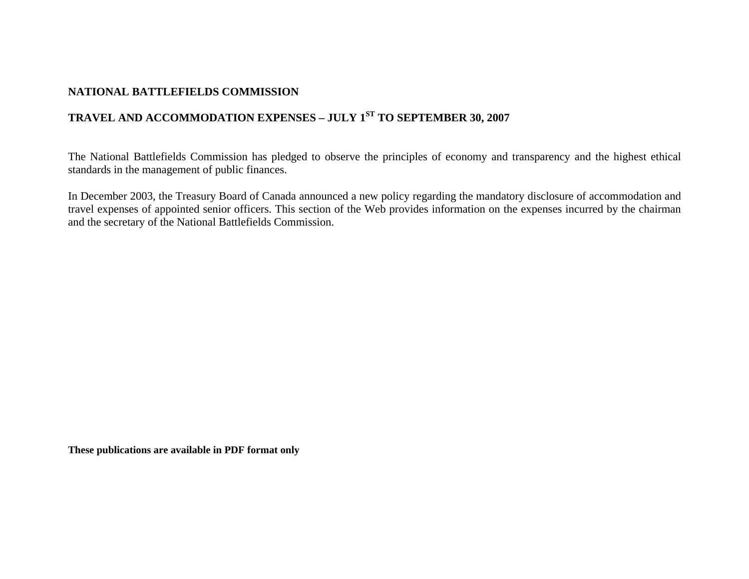## **NATIONAL BATTLEFIELDS COMMISSION**

## **TRAVEL AND ACCOMMODATION EXPENSES – JULY 1ST TO SEPTEMBER 30, 2007**

The National Battlefields Commission has pledged to observe the principles of economy and transparency and the highest ethical standards in the management of public finances.

In December 2003, the Treasury Board of Canada announced a new policy regarding the mandatory disclosure of accommodation and travel expenses of appointed senior officers. This section of the Web provides information on the expenses incurred by the chairman and the secretary of the National Battlefields Commission.

**These publications are available in PDF format only**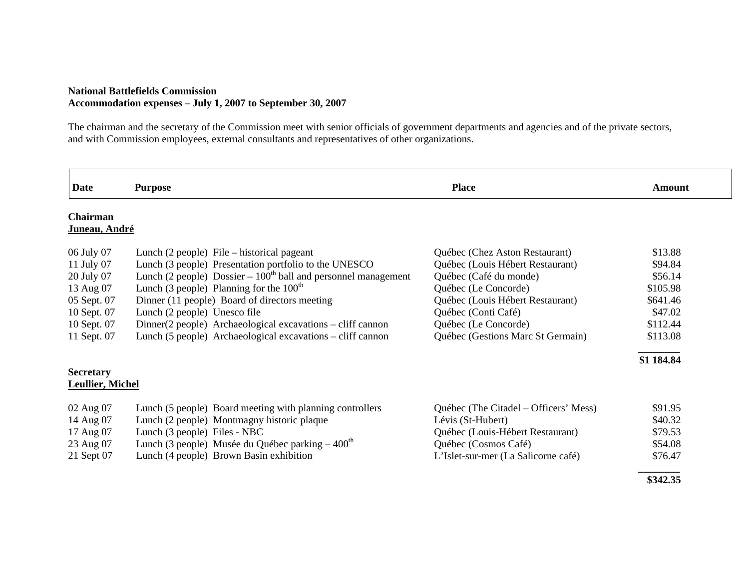## **National Battlefields Commission Accommodation expenses – July 1, 2007 to September 30, 2007**

The chairman and the secretary of the Commission meet with senior officials of government departments and agencies and of the private sectors, and with Commission employees, external consultants and representatives of other organizations.

| <b>Date</b>                                 | <b>Purpose</b>                                                  | <b>Place</b>                          | Amount     |
|---------------------------------------------|-----------------------------------------------------------------|---------------------------------------|------------|
| Chairman<br>Juneau, André                   |                                                                 |                                       |            |
| 06 July 07                                  | Lunch $(2 \text{ people})$ File – historical pageant            | Québec (Chez Aston Restaurant)        | \$13.88    |
| 11 July 07                                  | Lunch (3 people) Presentation portfolio to the UNESCO           | Québec (Louis Hébert Restaurant)      | \$94.84    |
| 20 July 07                                  | Lunch (2 people) Dossier $-100th$ ball and personnel management | Québec (Café du monde)                | \$56.14    |
| 13 Aug 07                                   | Lunch (3 people) Planning for the $100th$                       | Québec (Le Concorde)                  | \$105.98   |
| 05 Sept. 07                                 | Dinner (11 people) Board of directors meeting                   | Québec (Louis Hébert Restaurant)      | \$641.46   |
| 10 Sept. 07                                 | Lunch (2 people) Unesco file                                    | Québec (Conti Café)                   | \$47.02    |
| 10 Sept. 07                                 | $Dinner(2 people)$ Archaeological excavations – cliff cannon    | Québec (Le Concorde)                  | \$112.44   |
| 11 Sept. 07                                 | Lunch (5 people) Archaeological excavations – cliff cannon      | Québec (Gestions Marc St Germain)     | \$113.08   |
|                                             |                                                                 |                                       | \$1 184.84 |
| <b>Secretary</b><br><b>Leullier, Michel</b> |                                                                 |                                       |            |
| 02 Aug 07                                   | Lunch (5 people) Board meeting with planning controllers        | Québec (The Citadel – Officers' Mess) | \$91.95    |
| 14 Aug 07                                   | Lunch (2 people) Montmagny historic plaque                      | Lévis (St-Hubert)                     | \$40.32    |
| 17 Aug 07                                   | Lunch (3 people) Files - NBC                                    | Québec (Louis-Hébert Restaurant)      | \$79.53    |
| 23 Aug 07                                   | Lunch (3 people) Musée du Québec parking $-400th$               | Québec (Cosmos Café)                  | \$54.08    |
| 21 Sept 07                                  | Lunch (4 people) Brown Basin exhibition                         | L'Islet-sur-mer (La Salicorne café)   | \$76.47    |
|                                             |                                                                 |                                       | \$342.35   |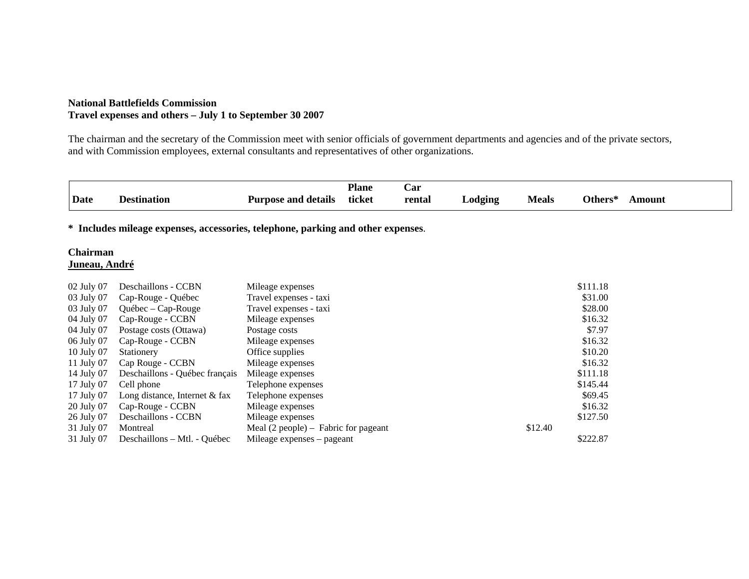## **National Battlefields Commission Travel expenses and others – July 1 to September 30 2007**

The chairman and the secretary of the Commission meet with senior officials of government departments and agencies and of the private sectors, and with Commission employees, external consultants and representatives of other organizations.

| <b>Destination</b>                | <b>Purpose and details</b>                                                                                                                                            | <b>Plane</b><br>ticket                                                                                                                                                                                                                                   | Car<br>rental              | Lodging                                                                                                                    | <b>Meals</b> | Others*  | <b>Amount</b>                                       |
|-----------------------------------|-----------------------------------------------------------------------------------------------------------------------------------------------------------------------|----------------------------------------------------------------------------------------------------------------------------------------------------------------------------------------------------------------------------------------------------------|----------------------------|----------------------------------------------------------------------------------------------------------------------------|--------------|----------|-----------------------------------------------------|
|                                   |                                                                                                                                                                       |                                                                                                                                                                                                                                                          |                            |                                                                                                                            |              |          |                                                     |
| Chairman<br><u> Juneau, André</u> |                                                                                                                                                                       |                                                                                                                                                                                                                                                          |                            |                                                                                                                            |              |          |                                                     |
|                                   |                                                                                                                                                                       |                                                                                                                                                                                                                                                          |                            |                                                                                                                            |              |          |                                                     |
|                                   |                                                                                                                                                                       |                                                                                                                                                                                                                                                          |                            |                                                                                                                            |              |          |                                                     |
|                                   |                                                                                                                                                                       |                                                                                                                                                                                                                                                          |                            |                                                                                                                            |              |          |                                                     |
|                                   |                                                                                                                                                                       |                                                                                                                                                                                                                                                          |                            |                                                                                                                            |              |          |                                                     |
|                                   |                                                                                                                                                                       |                                                                                                                                                                                                                                                          |                            |                                                                                                                            |              |          |                                                     |
|                                   |                                                                                                                                                                       |                                                                                                                                                                                                                                                          |                            |                                                                                                                            |              | \$16.32  |                                                     |
|                                   |                                                                                                                                                                       |                                                                                                                                                                                                                                                          |                            |                                                                                                                            |              | \$10.20  |                                                     |
|                                   |                                                                                                                                                                       |                                                                                                                                                                                                                                                          |                            |                                                                                                                            |              | \$16.32  |                                                     |
| Deschaillons - Québec français    |                                                                                                                                                                       |                                                                                                                                                                                                                                                          |                            |                                                                                                                            |              | \$111.18 |                                                     |
| Cell phone                        |                                                                                                                                                                       |                                                                                                                                                                                                                                                          |                            |                                                                                                                            |              | \$145.44 |                                                     |
| Long distance, Internet $&$ fax   |                                                                                                                                                                       |                                                                                                                                                                                                                                                          |                            |                                                                                                                            |              | \$69.45  |                                                     |
| Cap-Rouge - CCBN                  |                                                                                                                                                                       |                                                                                                                                                                                                                                                          |                            |                                                                                                                            |              | \$16.32  |                                                     |
| Deschaillons - CCBN               | Mileage expenses                                                                                                                                                      |                                                                                                                                                                                                                                                          |                            |                                                                                                                            |              | \$127.50 |                                                     |
| Montreal                          |                                                                                                                                                                       |                                                                                                                                                                                                                                                          |                            |                                                                                                                            | \$12.40      |          |                                                     |
| Deschaillons – Mtl. - Québec      |                                                                                                                                                                       |                                                                                                                                                                                                                                                          |                            |                                                                                                                            |              | \$222.87 |                                                     |
|                                   | Deschaillons - CCBN<br>Cap-Rouge - Québec<br>$Québec - Cap-Rouge$<br>Cap-Rouge - CCBN<br>Postage costs (Ottawa)<br>Cap-Rouge - CCBN<br>Stationery<br>Cap Rouge - CCBN | Mileage expenses<br>Travel expenses - taxi<br>Travel expenses - taxi<br>Mileage expenses<br>Postage costs<br>Mileage expenses<br>Office supplies<br>Mileage expenses<br>Mileage expenses<br>Telephone expenses<br>Telephone expenses<br>Mileage expenses | Mileage expenses – pageant | * Includes mileage expenses, accessories, telephone, parking and other expenses.<br>Meal $(2$ people) – Fabric for pageant |              |          | \$111.18<br>\$31.00<br>\$28.00<br>\$16.32<br>\$7.97 |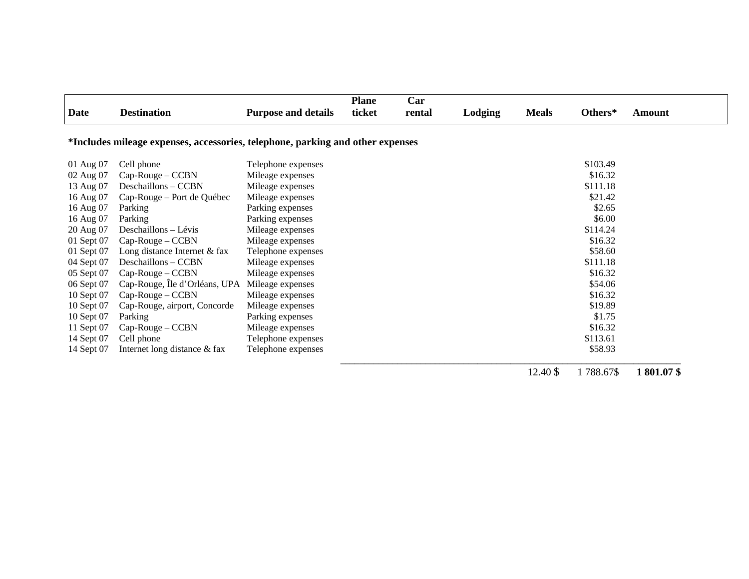| <b>Date</b> | <b>Destination</b>                                                             | <b>Purpose and details</b> | <b>Plane</b><br>ticket | Car<br>rental | Lodging | <b>Meals</b> | Others*   | Amount    |
|-------------|--------------------------------------------------------------------------------|----------------------------|------------------------|---------------|---------|--------------|-----------|-----------|
|             |                                                                                |                            |                        |               |         |              |           |           |
|             | *Includes mileage expenses, accessories, telephone, parking and other expenses |                            |                        |               |         |              |           |           |
| 01 Aug 07   | Cell phone                                                                     | Telephone expenses         |                        |               |         |              | \$103.49  |           |
| 02 Aug 07   | $Cap-Rouge - CCBN$                                                             | Mileage expenses           |                        |               |         |              | \$16.32   |           |
| 13 Aug 07   | Deschaillons - CCBN                                                            | Mileage expenses           |                        |               |         |              | \$111.18  |           |
| 16 Aug 07   | Cap-Rouge – Port de Québec                                                     | Mileage expenses           |                        |               |         |              | \$21.42   |           |
| 16 Aug 07   | Parking                                                                        | Parking expenses           |                        |               |         |              | \$2.65    |           |
| 16 Aug 07   | Parking                                                                        | Parking expenses           |                        |               |         |              | \$6.00    |           |
| 20 Aug 07   | Deschaillons - Lévis                                                           | Mileage expenses           |                        |               |         |              | \$114.24  |           |
| 01 Sept 07  | $Cap-Rouge - CCBN$                                                             | Mileage expenses           |                        |               |         |              | \$16.32   |           |
| 01 Sept 07  | Long distance Internet & fax                                                   | Telephone expenses         |                        |               |         |              | \$58.60   |           |
| 04 Sept 07  | Deschaillons – CCBN                                                            | Mileage expenses           |                        |               |         |              | \$111.18  |           |
| 05 Sept 07  | $Cap-Rouge - CCBN$                                                             | Mileage expenses           |                        |               |         |              | \$16.32   |           |
| 06 Sept 07  | Cap-Rouge, Île d'Orléans, UPA                                                  | Mileage expenses           |                        |               |         |              | \$54.06   |           |
| 10 Sept 07  | $Cap-Rouge - CCBN$                                                             | Mileage expenses           |                        |               |         |              | \$16.32   |           |
| 10 Sept 07  | Cap-Rouge, airport, Concorde                                                   | Mileage expenses           |                        |               |         |              | \$19.89   |           |
| 10 Sept 07  | Parking                                                                        | Parking expenses           |                        |               |         |              | \$1.75    |           |
| 11 Sept 07  | Cap-Rouge – CCBN                                                               | Mileage expenses           |                        |               |         |              | \$16.32   |           |
| 14 Sept 07  | Cell phone                                                                     | Telephone expenses         |                        |               |         |              | \$113.61  |           |
| 14 Sept 07  | Internet long distance & fax                                                   | Telephone expenses         |                        |               |         |              | \$58.93   |           |
|             |                                                                                |                            |                        |               |         | 12.40 \$     | 1788.67\$ | 1801.07\$ |